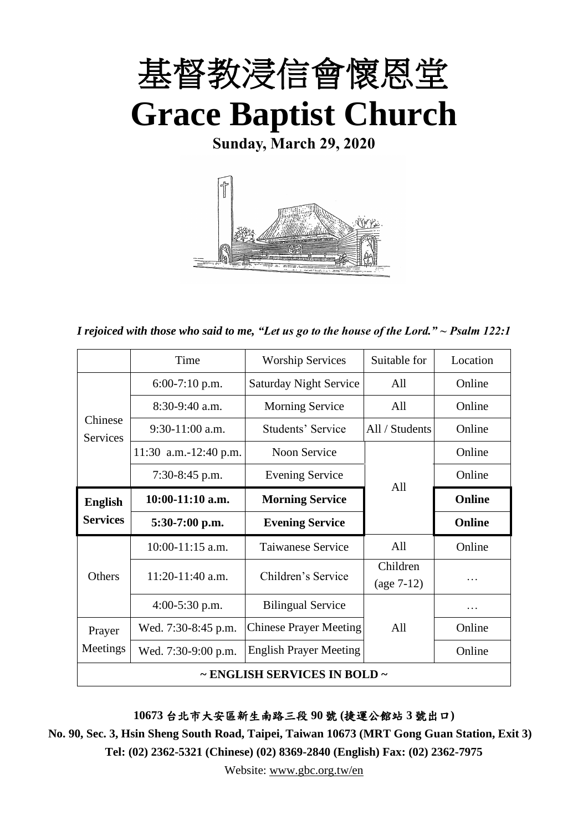

**Sunday, March 29, 2020**



*I rejoiced with those who said to me, "Let us go to the house of the Lord." ~ Psalm 122:1*

|                                        | Time                  | <b>Worship Services</b>       | Suitable for   | Location |  |
|----------------------------------------|-----------------------|-------------------------------|----------------|----------|--|
| Chinese<br><b>Services</b>             | $6:00-7:10$ p.m.      | <b>Saturday Night Service</b> | All            | Online   |  |
|                                        | $8:30-9:40$ a.m.      | <b>Morning Service</b>        | All            | Online   |  |
|                                        | $9:30-11:00$ a.m.     | Students' Service             | All / Students | Online   |  |
|                                        | 11:30 a.m.-12:40 p.m. | <b>Noon Service</b>           |                | Online   |  |
|                                        | $7:30-8:45$ p.m.      | <b>Evening Service</b>        |                |          |  |
| <b>English</b><br><b>Services</b>      | $10:00-11:10$ a.m.    | <b>Morning Service</b>        | A11            | Online   |  |
|                                        | $5:30-7:00$ p.m.      | <b>Evening Service</b>        |                |          |  |
|                                        | 10:00-11:15 a.m.      | Taiwanese Service             | All            | Online   |  |
|                                        |                       | Children's Service            | Children       |          |  |
| <b>Others</b>                          | $11:20-11:40$ a.m.    |                               | $(age 7-12)$   | .        |  |
|                                        | $4:00-5:30$ p.m.      | <b>Bilingual Service</b>      |                | .        |  |
| Prayer                                 | Wed. 7:30-8:45 p.m.   | <b>Chinese Prayer Meeting</b> | A11            | Online   |  |
| Meetings                               | Wed. 7:30-9:00 p.m.   | <b>English Prayer Meeting</b> |                | Online   |  |
| $\sim$ ENGLISH SERVICES IN BOLD $\sim$ |                       |                               |                |          |  |

**10673** 台北市大安區新生南路三段 **90** 號 **(**捷運公館站 **3** 號出口**)**

**No. 90, Sec. 3, Hsin Sheng South Road, Taipei, Taiwan 10673 (MRT Gong Guan Station, Exit 3) Tel: (02) 2362-5321 (Chinese) (02) 8369-2840 (English) Fax: (02) 2362-7975**

Website: [www.gbc.org.tw/en](http://www.gbc.org.tw/en)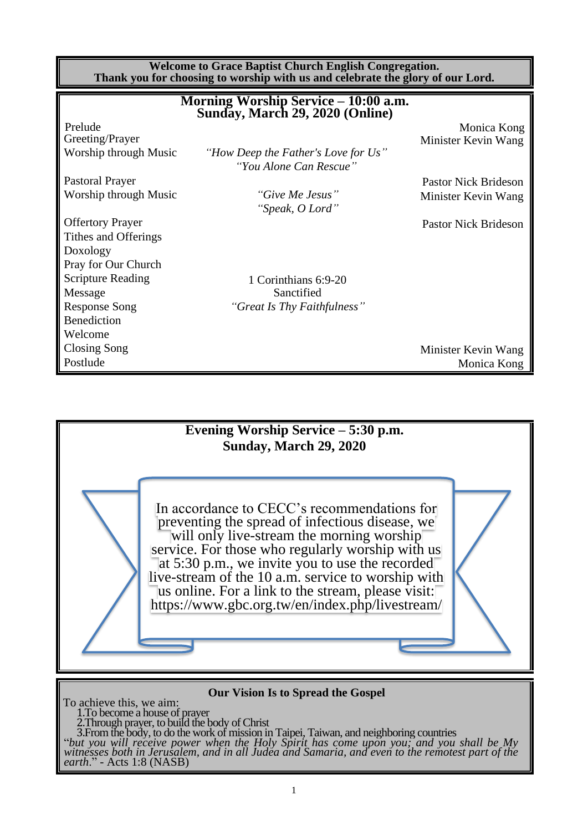**Welcome to Grace Baptist Church English Congregation. Thank you for choosing to worship with us and celebrate the glory of our Lord.**

|                          | Morning Worship Service – 10:00 a.m.<br>Sunday, March 29, 2020 (Online) |                             |
|--------------------------|-------------------------------------------------------------------------|-----------------------------|
| Prelude                  |                                                                         | Monica Kong                 |
| Greeting/Prayer          |                                                                         | Minister Kevin Wang         |
| Worship through Music    | "How Deep the Father's Love for Us"                                     |                             |
|                          | "You Alone Can Rescue"                                                  |                             |
| <b>Pastoral Prayer</b>   |                                                                         | <b>Pastor Nick Brideson</b> |
| Worship through Music    | "Give Me Jesus"                                                         | Minister Kevin Wang         |
|                          | "Speak, O Lord"                                                         |                             |
| <b>Offertory Prayer</b>  |                                                                         | <b>Pastor Nick Brideson</b> |
| Tithes and Offerings     |                                                                         |                             |
| Doxology                 |                                                                         |                             |
| Pray for Our Church      |                                                                         |                             |
| <b>Scripture Reading</b> | 1 Corinthians 6:9-20                                                    |                             |
| Message                  | Sanctified                                                              |                             |
| <b>Response Song</b>     | "Great Is Thy Faithfulness"                                             |                             |
| <b>Benediction</b>       |                                                                         |                             |
| Welcome                  |                                                                         |                             |
| Closing Song             |                                                                         | Minister Kevin Wang         |
| Postlude                 |                                                                         | Monica Kong                 |



**Our Vision Is to Spread the Gospel**

To achieve this, we aim:

1.To become a house of prayer 2.Through prayer, to build the body of Christ

3.From the body, to do the work of mission in Taipei, Taiwan, and neighboring countries

"*but you will receive power when the Holy Spirit has come upon you; and you shall be My witnesses both in Jerusalem, and in all Judea and Samaria, and even to the remotest part of the earth*." - Acts 1:8 (NASB)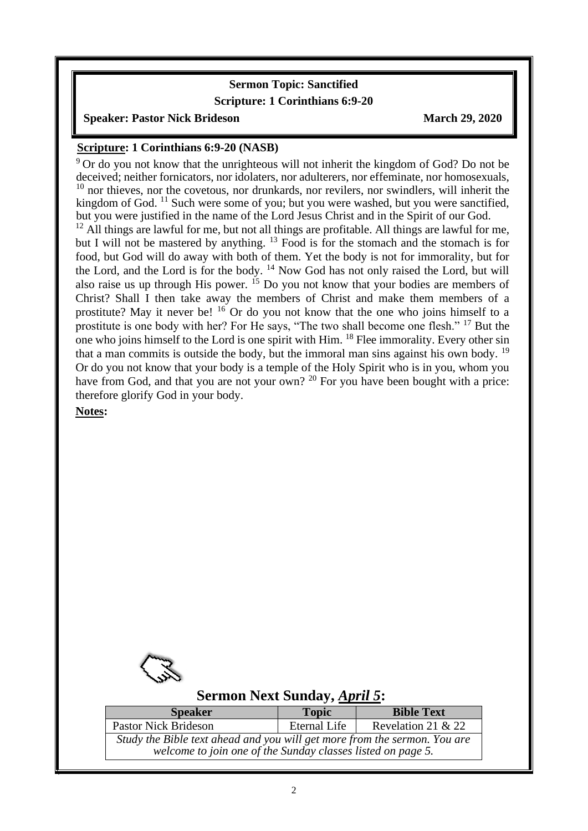### **Sermon Topic: Sanctified**

#### **Scripture: 1 Corinthians 6:9-20**

#### **Speaker: Pastor Nick Brideson March 29, 2020**

### **Scripture: 1 Corinthians 6:9-20 (NASB)**

 $9^9$  Or do you not know that the unrighteous will not inherit the kingdom of God? Do not be deceived; neither fornicators, nor idolaters, nor adulterers, nor effeminate, nor homosexuals, <sup>10</sup> nor thieves, nor the covetous, nor drunkards, nor revilers, nor swindlers, will inherit the kingdom of God.  $^{11}$  Such were some of you; but you were washed, but you were sanctified, but you were justified in the name of the Lord Jesus Christ and in the Spirit of our God.

 $12$  All things are lawful for me, but not all things are profitable. All things are lawful for me, but I will not be mastered by anything.  $^{13}$  Food is for the stomach and the stomach is for food, but God will do away with both of them. Yet the body is not for immorality, but for the Lord, and the Lord is for the body. <sup>14</sup> Now God has not only raised the Lord, but will also raise us up through His power.  $^{15}$  Do you not know that your bodies are members of Christ? Shall I then take away the members of Christ and make them members of a prostitute? May it never be!  $16$  Or do you not know that the one who joins himself to a prostitute is one body with her? For He says, "The two shall become one flesh." <sup>17</sup> But the one who joins himself to the Lord is one spirit with Him. <sup>18</sup> Flee immorality. Every other sin that a man commits is outside the body, but the immoral man sins against his own body.  $19$ Or do you not know that your body is a temple of the Holy Spirit who is in you, whom you have from God, and that you are not your own? <sup>20</sup> For you have been bought with a price: therefore glorify God in your body.

#### **Notes:**

 $\overline{\phantom{a}}$ 



### **Sermon Next Sunday,** *April 5***:**

| <b>Speaker</b>                                                            | <b>Topic</b> | <b>Bible Text</b>    |  |  |  |  |
|---------------------------------------------------------------------------|--------------|----------------------|--|--|--|--|
| <b>Pastor Nick Brideson</b>                                               | Eternal Life | Revelation 21 $& 22$ |  |  |  |  |
| Study the Bible text ahead and you will get more from the sermon. You are |              |                      |  |  |  |  |
| welcome to join one of the Sunday classes listed on page 5.               |              |                      |  |  |  |  |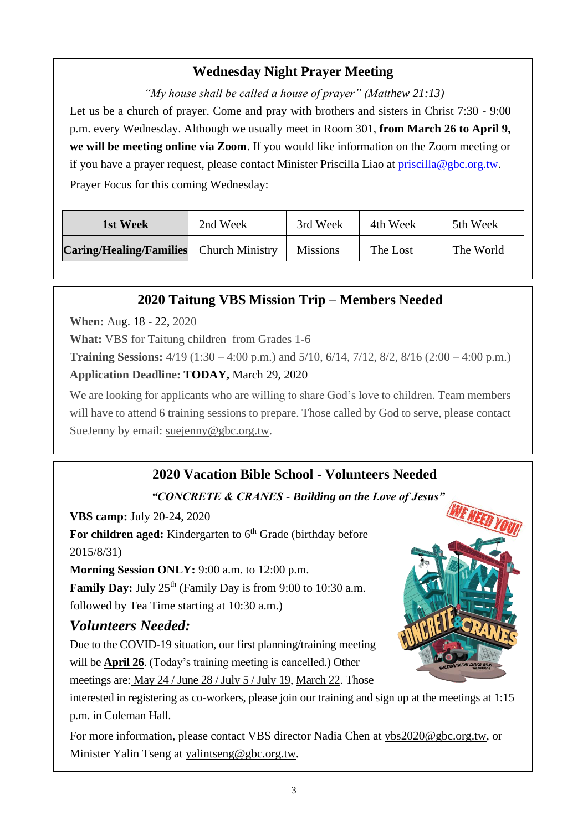# **Wednesday Night Prayer Meeting**

*"My house shall be called a house of prayer" (Matthew 21:13)* Let us be a church of prayer. Come and pray with brothers and sisters in Christ 7:30 - 9:00 p.m. every Wednesday. Although we usually meet in Room 301, **from March 26 to April 9, we will be meeting online via Zoom**. If you would like information on the Zoom meeting or if you have a prayer request, please contact Minister Priscilla Liao at [priscilla@gbc.org.tw.](mailto:priscilla@gbc.org.tw) Prayer Focus for this coming Wednesday:

| 1st Week                       | 2nd Week               | 3rd Week        | 4th Week | 5th Week  |
|--------------------------------|------------------------|-----------------|----------|-----------|
| <b>Caring/Healing/Families</b> | <b>Church Ministry</b> | <b>Missions</b> | The Lost | The World |

## **2020 Taitung VBS Mission Trip – Members Needed**

**When:** Aug. 18 - 22, 2020

**What:** VBS for Taitung children from Grades 1-6

**Training Sessions:** 4/19 (1:30 – 4:00 p.m.) and 5/10, 6/14, 7/12, 8/2, 8/16 (2:00 – 4:00 p.m.)

**Application Deadline: TODAY,** March 29, 2020

We are looking for applicants who are willing to share God's love to children. Team members will have to attend 6 training sessions to prepare. Those called by God to serve, please contact SueJenny by email: suejenny@gbc.org.tw.

# **2020 Vacation Bible School - Volunteers Needed**

*"CONCRETE & CRANES - Building on the Love of Jesus"*

**VBS camp:** July 20-24, 2020

For children aged: Kindergarten to 6<sup>th</sup> Grade (birthday before 2015/8/31)

**Morning Session ONLY:** 9:00 a.m. to 12:00 p.m.

**Family Day:** July 25<sup>th</sup> (Family Day is from 9:00 to 10:30 a.m.

followed by Tea Time starting at 10:30 a.m.)

# *Volunteers Needed:*

Due to the COVID-19 situation, our first planning/training meeting will be **April 26**. (Today's training meeting is cancelled.) Other meetings are: May 24 / June 28 / July 5 / July 19, March 22. Those

interested in registering as co-workers, please join our training and sign up at the meetings at 1:15 p.m. in Coleman Hall.

For more information, please contact VBS director Nadia Chen at [vbs2020@gbc.org.tw,](mailto:vbs2020@gbc.org.tw) or Minister Yalin Tseng at [yalintseng@gbc.org.tw.](mailto:yalintseng@gbc.org.tw)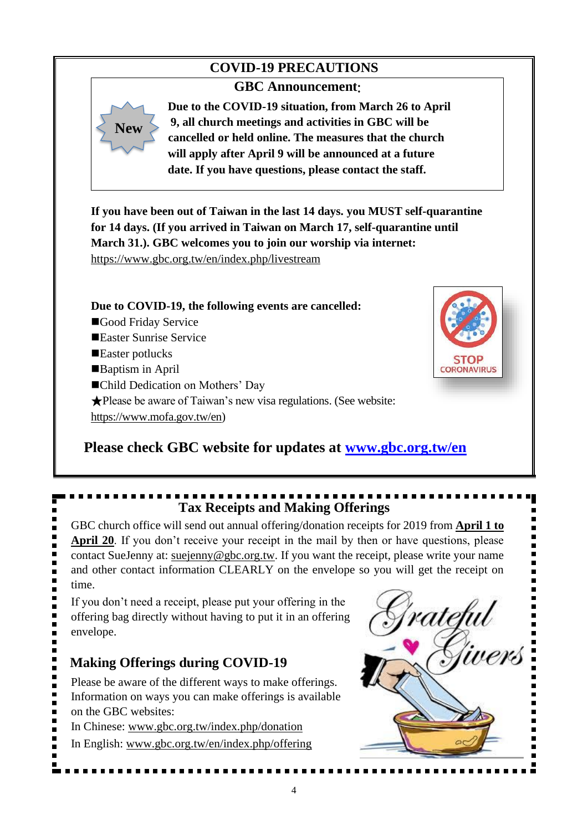### **COVID-19 PRECAUTIONS**

### **GBC Announcement**:

**New**

**Due to the COVID-19 situation, from March 26 to April 9, all church meetings and activities in GBC will be cancelled or held online. The measures that the church will apply after April 9 will be announced at a future date. If you have questions, please contact the staff.** 

**If you have been out of Taiwan in the last 14 days. you MUST self-quarantine for 14 days. (If you arrived in Taiwan on March 17, self-quarantine until March 31.). GBC welcomes you to join our worship via internet:**  [https://www.gbc.org.tw/en/index.php/livestream](https://www.gbc.org.tw/en/index.php/livestream/)

**Due to COVID-19, the following events are cancelled:** ■Good Friday Service ■Easter Sunrise Service ■Easter potlucks ■Baptism in April ■Child Dedication on Mothers' Day ★Please be aware of Taiwan's new visa regulations. (See website:

[https://www.mofa.gov.tw/en\)](https://www.mofa.gov.tw/en/)



# **Please check GBC website for updates at [www.gbc.org.tw/en](http://www.gbc.org.tw/en)**

# **Tax Receipts and Making Offerings**

GBC church office will send out annual offering/donation receipts for 2019 from **April 1 to April 20**. If you don't receive your receipt in the mail by then or have questions, please contact SueJenny at: [suejenny@gbc.org.tw.](mailto:suejenny@gbc.org.tw) If you want the receipt, please write your name time.

If you don't need a receipt, please put your offering in the offering bag directly without having to put it in an offering envelope.

### **Making Offerings during COVID-19**

Please be aware of the different ways to make offerings. Information on ways you can make offerings is available on the GBC websites:

In Chinese: www.gbc.org.tw/index.php/donation

In English: [www.gbc.org.tw/en/index.php/offering](http://www.gbc.org.tw/en/index.php/offering/)

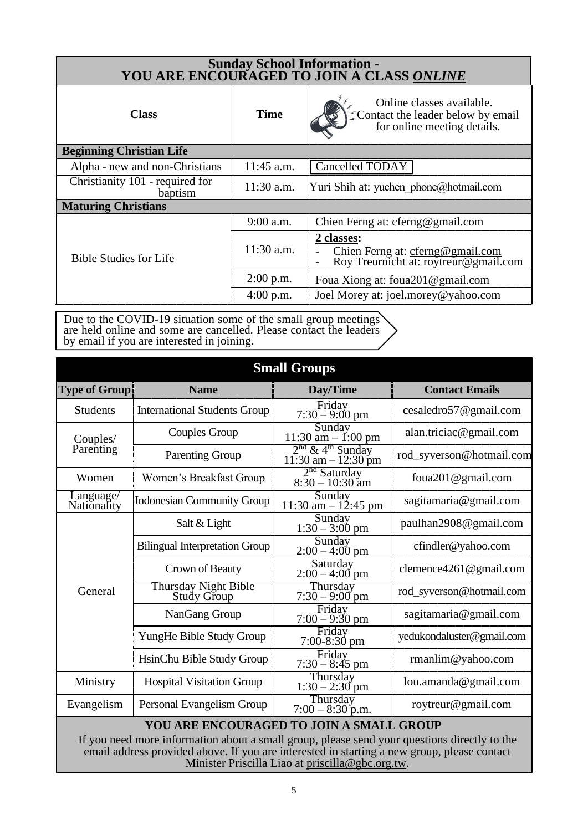| Sunday School Information -<br>YOU ARE ENCOURAGED TO JOIN A CLASS ONLINE |                                      |                                                                                               |  |  |  |  |
|--------------------------------------------------------------------------|--------------------------------------|-----------------------------------------------------------------------------------------------|--|--|--|--|
| <b>Class</b>                                                             | <b>Time</b>                          | Online classes available.<br>Contact the leader below by email<br>for online meeting details. |  |  |  |  |
| <b>Beginning Christian Life</b>                                          |                                      |                                                                                               |  |  |  |  |
| Alpha - new and non-Christians                                           | <b>Cancelled TODAY</b><br>11:45 a.m. |                                                                                               |  |  |  |  |
| Christianity 101 - required for<br>baptism                               | $11:30$ a.m.                         | Yuri Shih at: yuchen phone@hotmail.com                                                        |  |  |  |  |
| <b>Maturing Christians</b>                                               |                                      |                                                                                               |  |  |  |  |
|                                                                          | $9:00$ a.m.                          | Chien Ferng at: cferng@gmail.com                                                              |  |  |  |  |
| <b>Bible Studies for Life</b>                                            | 11:30 a.m.                           | 2 classes:<br>Chien Ferng at: cferng@gmail.com<br>Roy Treurnicht at: roytreur@gmail.com       |  |  |  |  |
|                                                                          | $2:00$ p.m.                          | Foua Xiong at: foua201@gmail.com                                                              |  |  |  |  |
|                                                                          | $4:00$ p.m.                          | Joel Morey at: joel.morey@yahoo.com                                                           |  |  |  |  |

Due to the COVID-19 situation some of the small group meetings are held online and some are cancelled. Please contact the leaders by email if you are interested in joining.

| <b>Small Groups</b>                                                                                                                                                                                                                             |                                            |                                                        |                           |  |  |
|-------------------------------------------------------------------------------------------------------------------------------------------------------------------------------------------------------------------------------------------------|--------------------------------------------|--------------------------------------------------------|---------------------------|--|--|
| <b>Type of Group!</b>                                                                                                                                                                                                                           | <b>Name</b>                                | Day/Time                                               | <b>Contact Emails</b>     |  |  |
| <b>Students</b>                                                                                                                                                                                                                                 | <b>International Students Group</b>        | Friday<br>$7:30 - 9:00$ pm                             | cesaledro57@gmail.com     |  |  |
| Couples/                                                                                                                                                                                                                                        | <b>Couples Group</b>                       | Sunday<br>$11:30$ am $- 1:00$ pm                       | alan.triciac@gmail.com    |  |  |
| Parenting                                                                                                                                                                                                                                       | Parenting Group                            | $\frac{2^{nd} \& 4^{th}$ Sunday<br>11:30 am - 12:30 pm | rod_syverson@hotmail.com  |  |  |
| Women                                                                                                                                                                                                                                           | Women's Breakfast Group                    | $2nd$ Saturday<br>$8:30 - 10:30$ am                    | foua201@gmail.com         |  |  |
| Language/<br>Nationality                                                                                                                                                                                                                        | <b>Indonesian Community Group</b>          | Sunday<br>11:30 am $- 12:45$ pm                        | sagitamaria@gmail.com     |  |  |
|                                                                                                                                                                                                                                                 | Salt & Light                               | Sunday<br>$1:30 - 3:00$ pm                             | paulhan2908@gmail.com     |  |  |
|                                                                                                                                                                                                                                                 | <b>Bilingual Interpretation Group</b>      | Sunday<br>$2:00 - 4:00$ pm                             | cfindler@yahoo.com        |  |  |
|                                                                                                                                                                                                                                                 | Crown of Beauty                            | Saturday<br>$2:00 - 4:00$ pm                           | clemence4261@gmail.com    |  |  |
| General                                                                                                                                                                                                                                         | <b>Thursday Night Bible</b><br>Study Group | Thursday<br>$7:30 - 9:00$ pm                           | rod_syverson@hotmail.com  |  |  |
|                                                                                                                                                                                                                                                 | NanGang Group                              | Friday<br>$7:00 - 9:30$ pm                             | sagitamaria@gmail.com     |  |  |
|                                                                                                                                                                                                                                                 | YungHe Bible Study Group                   | Friday<br>$7:00-8:30$ pm                               | yedukondaluster@gmail.com |  |  |
|                                                                                                                                                                                                                                                 | HsinChu Bible Study Group                  | Friday<br>$7:30 - 8:45$ pm                             | $r$ manlim@yahoo.com      |  |  |
| Ministry                                                                                                                                                                                                                                        | <b>Hospital Visitation Group</b>           | Thursday<br>$1:30 - 2:30$ pm                           | lou. amanda@gmail.com     |  |  |
| Evangelism<br>Personal Evangelism Group                                                                                                                                                                                                         |                                            | Thursday<br>$7:00 - 8:30$ p.m.                         | roytreur@gmail.com        |  |  |
| YOU ARE ENCOURAGED TO JOIN A SMALL GROUP                                                                                                                                                                                                        |                                            |                                                        |                           |  |  |
| If you need more information about a small group, please send your questions directly to the<br>email address provided above. If you are interested in starting a new group, please contact<br>Minister Priscilla Liao at priscilla@gbc.org.tw. |                                            |                                                        |                           |  |  |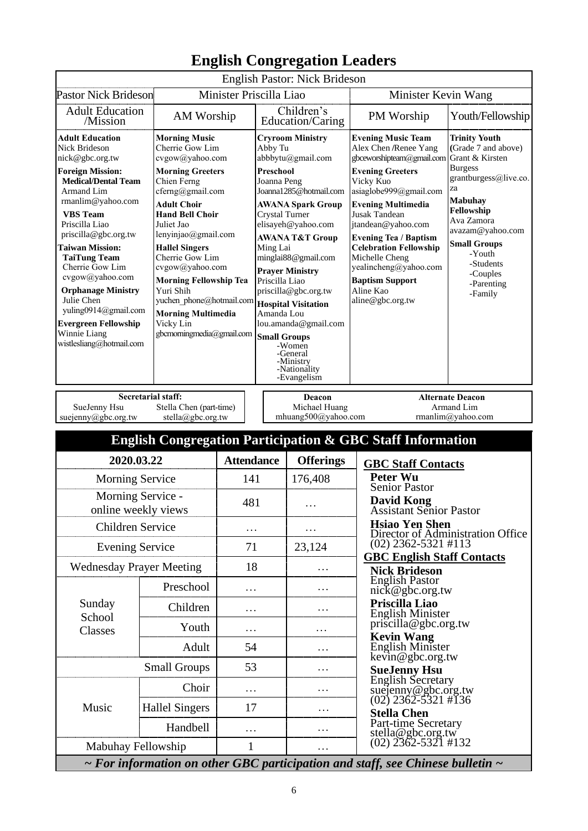|                                                                                                                                                                                                                                                                                                                                                                                                                                                                                                                                                                                                                                                                                                                                                                      |                                              |                                                                                                                                                                                                                                                                                                                                                                                                                       |                     | English Pastor: Nick Brideson                                  |                                                                                                                                                                                                                                                                                                                                                                                                     |                                                                                                                                                                                                                                                                      |
|----------------------------------------------------------------------------------------------------------------------------------------------------------------------------------------------------------------------------------------------------------------------------------------------------------------------------------------------------------------------------------------------------------------------------------------------------------------------------------------------------------------------------------------------------------------------------------------------------------------------------------------------------------------------------------------------------------------------------------------------------------------------|----------------------------------------------|-----------------------------------------------------------------------------------------------------------------------------------------------------------------------------------------------------------------------------------------------------------------------------------------------------------------------------------------------------------------------------------------------------------------------|---------------------|----------------------------------------------------------------|-----------------------------------------------------------------------------------------------------------------------------------------------------------------------------------------------------------------------------------------------------------------------------------------------------------------------------------------------------------------------------------------------------|----------------------------------------------------------------------------------------------------------------------------------------------------------------------------------------------------------------------------------------------------------------------|
| <b>Pastor Nick Brideson</b>                                                                                                                                                                                                                                                                                                                                                                                                                                                                                                                                                                                                                                                                                                                                          |                                              | Minister Priscilla Liao                                                                                                                                                                                                                                                                                                                                                                                               |                     |                                                                | Minister Kevin Wang                                                                                                                                                                                                                                                                                                                                                                                 |                                                                                                                                                                                                                                                                      |
| <b>Adult Education</b><br>AM Worship<br>/Mission                                                                                                                                                                                                                                                                                                                                                                                                                                                                                                                                                                                                                                                                                                                     |                                              |                                                                                                                                                                                                                                                                                                                                                                                                                       |                     | Children's                                                     | PM Worship                                                                                                                                                                                                                                                                                                                                                                                          | Youth/Fellowship                                                                                                                                                                                                                                                     |
| <b>Adult Education</b><br><b>Morning Music</b><br>Nick Brideson<br>Cherrie Gow Lim<br>nick@gbc.org.tw<br>cvgow@yahoo.com<br><b>Foreign Mission:</b><br><b>Morning Greeters</b><br><b>Medical/Dental Team</b><br>Chien Ferng<br>cferng@gmail.com<br>Armand Lim<br>rmanlim@yahoo.com<br><b>Adult Choir</b><br><b>VBS</b> Team<br><b>Hand Bell Choir</b><br>Priscilla Liao<br>Juliet Jao<br>priscilla@gbc.org.tw<br>lenyinjao@gmail.com<br><b>Taiwan Mission:</b><br><b>Hallel Singers</b><br>Cherrie Gow Lim<br><b>TaiTung Team</b><br>Cherrie Gow Lim<br>cvgow@yahoo.com<br>cvgow@yahoo.com<br><b>Morning Fellowship Tea</b><br><b>Orphanage Ministry</b><br>Yuri Shih<br>Julie Chen<br>yuchen phone@hotmail.com<br>yuling0914@gmail.com<br><b>Morning Multimedia</b> |                                              | Education/Caring<br><b>Cryroom Ministry</b><br>Abby Tu<br>abbbytu@gmail.com<br>Preschool<br>Joanna Peng<br>Joanna1285@hotmail.com<br><b>AWANA Spark Group</b><br><b>Crystal Turner</b><br>elisayeh@yahoo.com<br><b>AWANA T&amp;T Group</b><br>Ming Lai<br>minglai88@gmail.com<br><b>Prayer Ministry</b><br>Priscilla Liao<br>priscilla@gbc.org.tw<br><b>Hospital Visitation</b><br>Amanda Lou<br>lou.amanda@gmail.com |                     |                                                                | <b>Evening Music Team</b><br>Alex Chen /Renee Yang<br>gbceworshipteam@gmail.com<br><b>Evening Greeters</b><br>Vicky Kuo<br>asiaglobe999@gmail.com<br><b>Evening Multimedia</b><br><b>Jusak Tandean</b><br>jtandean@yahoo.com<br><b>Evening Tea / Baptism</b><br><b>Celebration Fellowship</b><br>Michelle Cheng<br>yealincheng@yahoo.com<br><b>Baptism Support</b><br>Aline Kao<br>aline@gbc.org.tw | <b>Trinity Youth</b><br>(Grade 7 and above)<br>Grant & Kirsten<br><b>Burgess</b><br>grantburgess@live.co.<br>za<br><b>Mabuhay</b><br>Fellowship<br>Ava Zamora<br>avazam@yahoo.com<br><b>Small Groups</b><br>-Youth<br>-Students<br>-Couples<br>-Parenting<br>-Family |
| <b>Evergreen Fellowship</b><br>Winnie Liang<br>wistlesliang@hotmail.com                                                                                                                                                                                                                                                                                                                                                                                                                                                                                                                                                                                                                                                                                              | Vicky Lin<br>gbcmorningmedia@gmail.com       |                                                                                                                                                                                                                                                                                                                                                                                                                       | <b>Small Groups</b> | -Women<br>-General<br>-Ministry<br>-Nationality<br>-Evangelism |                                                                                                                                                                                                                                                                                                                                                                                                     |                                                                                                                                                                                                                                                                      |
| <b>Secretarial staff:</b>                                                                                                                                                                                                                                                                                                                                                                                                                                                                                                                                                                                                                                                                                                                                            |                                              |                                                                                                                                                                                                                                                                                                                                                                                                                       | Deacon              |                                                                | <b>Alternate Deacon</b>                                                                                                                                                                                                                                                                                                                                                                             |                                                                                                                                                                                                                                                                      |
| SueJenny Hsu<br>suejenny@gbc.org.tw                                                                                                                                                                                                                                                                                                                                                                                                                                                                                                                                                                                                                                                                                                                                  | Stella Chen (part-time)<br>stella@gbc.org.tw |                                                                                                                                                                                                                                                                                                                                                                                                                       |                     | Michael Huang<br>mhuang500@yahoo.com                           |                                                                                                                                                                                                                                                                                                                                                                                                     | Armand Lim<br>rmanlim@yahoo.com                                                                                                                                                                                                                                      |
|                                                                                                                                                                                                                                                                                                                                                                                                                                                                                                                                                                                                                                                                                                                                                                      |                                              |                                                                                                                                                                                                                                                                                                                                                                                                                       |                     |                                                                | <b>English Congregation Participation &amp; GBC Staff Information</b>                                                                                                                                                                                                                                                                                                                               |                                                                                                                                                                                                                                                                      |
| 2020.03.22                                                                                                                                                                                                                                                                                                                                                                                                                                                                                                                                                                                                                                                                                                                                                           |                                              | <b>Attendance</b>                                                                                                                                                                                                                                                                                                                                                                                                     |                     | <b>Offerings</b>                                               | <b>GBC Staff Contacts</b>                                                                                                                                                                                                                                                                                                                                                                           |                                                                                                                                                                                                                                                                      |
| <b>Morning Service</b>                                                                                                                                                                                                                                                                                                                                                                                                                                                                                                                                                                                                                                                                                                                                               |                                              | 141                                                                                                                                                                                                                                                                                                                                                                                                                   |                     | 176,408                                                        | <b>Peter Wu</b>                                                                                                                                                                                                                                                                                                                                                                                     |                                                                                                                                                                                                                                                                      |
| Morning Service -<br>online weekly views<br>Children Service                                                                                                                                                                                                                                                                                                                                                                                                                                                                                                                                                                                                                                                                                                         |                                              | 481                                                                                                                                                                                                                                                                                                                                                                                                                   |                     | .                                                              | <b>Senior Pastor</b><br><b>David Kong</b><br><b>Assistant Senior Pastor</b><br><b>Hsiao Yen Shen</b>                                                                                                                                                                                                                                                                                                |                                                                                                                                                                                                                                                                      |
| <b>Evening Service</b>                                                                                                                                                                                                                                                                                                                                                                                                                                                                                                                                                                                                                                                                                                                                               |                                              | .                                                                                                                                                                                                                                                                                                                                                                                                                     |                     | .<br>23,124                                                    | $(02)$ 2362-5321 #113                                                                                                                                                                                                                                                                                                                                                                               | Director of Administration Office                                                                                                                                                                                                                                    |
|                                                                                                                                                                                                                                                                                                                                                                                                                                                                                                                                                                                                                                                                                                                                                                      |                                              | 71                                                                                                                                                                                                                                                                                                                                                                                                                    |                     |                                                                | <b>GBC English Staff Contacts</b>                                                                                                                                                                                                                                                                                                                                                                   |                                                                                                                                                                                                                                                                      |
| <b>Wednesday Prayer Meeting</b><br>Preschool                                                                                                                                                                                                                                                                                                                                                                                                                                                                                                                                                                                                                                                                                                                         |                                              | 18<br>.                                                                                                                                                                                                                                                                                                                                                                                                               |                     | .<br>.                                                         | <b>Nick Brideson</b><br><b>English Pastor</b><br>nick@gbc.org.tw                                                                                                                                                                                                                                                                                                                                    |                                                                                                                                                                                                                                                                      |
| Sunday                                                                                                                                                                                                                                                                                                                                                                                                                                                                                                                                                                                                                                                                                                                                                               | Children                                     | $\cdots$                                                                                                                                                                                                                                                                                                                                                                                                              |                     | .                                                              | Priscilla Liao                                                                                                                                                                                                                                                                                                                                                                                      |                                                                                                                                                                                                                                                                      |
| School<br>Classes                                                                                                                                                                                                                                                                                                                                                                                                                                                                                                                                                                                                                                                                                                                                                    | Youth                                        | .                                                                                                                                                                                                                                                                                                                                                                                                                     |                     | .                                                              | <b>English Minister</b><br>priscilla@gbc.org.tw                                                                                                                                                                                                                                                                                                                                                     |                                                                                                                                                                                                                                                                      |
|                                                                                                                                                                                                                                                                                                                                                                                                                                                                                                                                                                                                                                                                                                                                                                      | Adult                                        | 54                                                                                                                                                                                                                                                                                                                                                                                                                    |                     | .                                                              | <b>Kevin Wang</b><br>English Minister                                                                                                                                                                                                                                                                                                                                                               |                                                                                                                                                                                                                                                                      |
| <b>Small Groups</b>                                                                                                                                                                                                                                                                                                                                                                                                                                                                                                                                                                                                                                                                                                                                                  |                                              | 53                                                                                                                                                                                                                                                                                                                                                                                                                    |                     | .                                                              | $\vec{key}$ in@gbc.org.tw<br><b>SueJenny Hsu</b>                                                                                                                                                                                                                                                                                                                                                    |                                                                                                                                                                                                                                                                      |
| Choir                                                                                                                                                                                                                                                                                                                                                                                                                                                                                                                                                                                                                                                                                                                                                                |                                              |                                                                                                                                                                                                                                                                                                                                                                                                                       |                     | .                                                              | English Secretary<br>suejenny@gbc.org.tw<br>(02) 2362-5321 #136                                                                                                                                                                                                                                                                                                                                     |                                                                                                                                                                                                                                                                      |
| Music                                                                                                                                                                                                                                                                                                                                                                                                                                                                                                                                                                                                                                                                                                                                                                | <b>Hallel Singers</b>                        | 17                                                                                                                                                                                                                                                                                                                                                                                                                    |                     | .                                                              | <b>Stella Chen</b>                                                                                                                                                                                                                                                                                                                                                                                  |                                                                                                                                                                                                                                                                      |
|                                                                                                                                                                                                                                                                                                                                                                                                                                                                                                                                                                                                                                                                                                                                                                      | Handbell                                     | .                                                                                                                                                                                                                                                                                                                                                                                                                     |                     | .                                                              | Part-time Secretary                                                                                                                                                                                                                                                                                                                                                                                 |                                                                                                                                                                                                                                                                      |
| Mabuhay Fellowship                                                                                                                                                                                                                                                                                                                                                                                                                                                                                                                                                                                                                                                                                                                                                   |                                              | 1                                                                                                                                                                                                                                                                                                                                                                                                                     |                     |                                                                | stella@gbc.org.tw<br>(02) 2362-5321 #132                                                                                                                                                                                                                                                                                                                                                            |                                                                                                                                                                                                                                                                      |
|                                                                                                                                                                                                                                                                                                                                                                                                                                                                                                                                                                                                                                                                                                                                                                      |                                              |                                                                                                                                                                                                                                                                                                                                                                                                                       |                     |                                                                |                                                                                                                                                                                                                                                                                                                                                                                                     |                                                                                                                                                                                                                                                                      |

# **English Congregation Leaders**

*~ For information on other GBC participation and staff, see Chinese bulletin ~*

Ι.